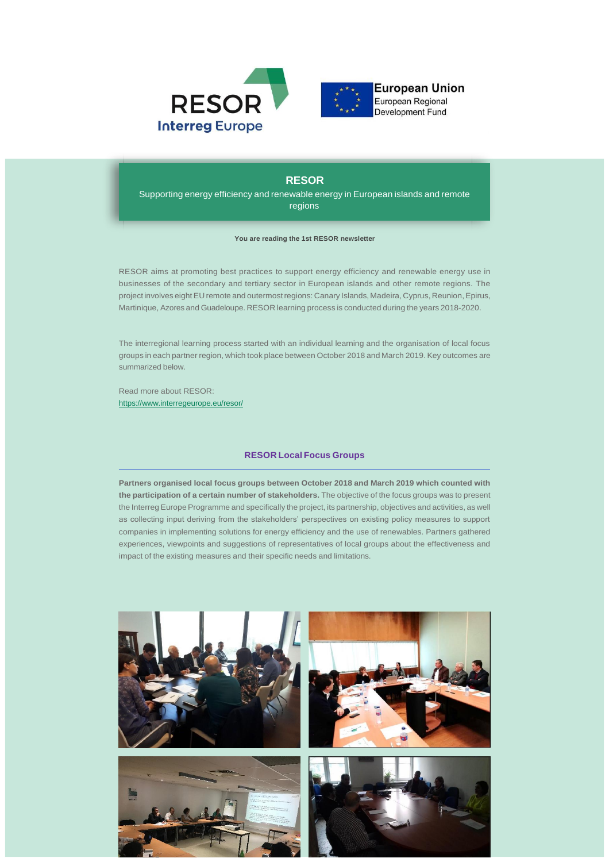



European Regional Development Fund

# **RESOR**

Supporting energy efficiency and renewable energy in European islands and remote regions

### **You are reading the 1st RESOR newsletter**

RESOR aims at promoting best practices to support energy efficiency and renewable energy use in businesses of the secondary and tertiary sector in European islands and other remote regions. The project involves eight EU remote and outermostregions: Canary Islands, Madeira, Cyprus, Reunion,Epirus, Martinique, Azores and Guadeloupe. RESOR learning process is conducted during the years 2018-2020.

The interregional learning process started with an individual learning and the organisation of local focus groups in each partner region, which took place between October 2018 and March 2019. Key outcomes are summarized below.

Read more about RESOR: [https://www.interregeurope.eu/resor/](https://mc.us18.list-manage.com/pages/track/click?u=ae3833eaa2feb3b185beadfc9&id=f2ec55db01)

### **RESOR Local Focus Groups**

**Partners organised local focus groups between October 2018 and March 2019 which counted with the participation of a certain number of stakeholders.** The objective of the focus groups was to present the Interreg Europe Programme and specifically the project, its partnership, objectives and activities, as well as collecting input deriving from the stakeholders' perspectives on existing policy measures to support companies in implementing solutions for energy efficiency and the use of renewables. Partners gathered experiences, viewpoints and suggestions of representatives of local groups about the effectiveness and impact of the existing measures and their specific needs and limitations.

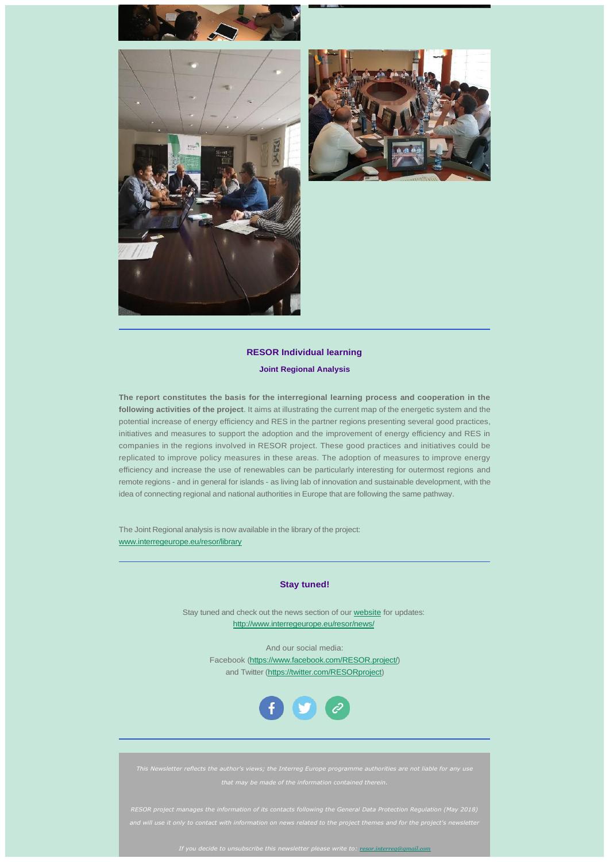





## **RESOR Individual learning**

### **Joint Regional Analysis**

**The report constitutes the basis for the interregional learning process and cooperation in the following activities of the project**. It aims at illustrating the current map of the energetic system and the potential increase of energy efficiency and RES in the partner regions presenting several good practices, initiatives and measures to support the adoption and the improvement of energy efficiency and RES in companies in the regions involved in RESOR project. These good practices and initiatives could be replicated to improve policy measures in these areas. The adoption of measures to improve energy efficiency and increase the use of renewables can be particularly interesting for outermost regions and remote regions - and in general for islands - as living lab of innovation and sustainable development, with the idea of connecting regional and national authorities in Europe that are following the same pathway.

The Joint Regional analysis is now available in the library of the project: [www.interregeurope.eu/resor/library](https://mc.us18.list-manage.com/pages/track/click?u=ae3833eaa2feb3b185beadfc9&id=714d051644)

### **Stay tuned!**

Stay tuned and check out the news section of ou[r website](https://mc.us18.list-manage.com/pages/track/click?u=ae3833eaa2feb3b185beadfc9&id=c87d69303f) for updates: [http://www.interregeurope.eu/resor/news/](https://mc.us18.list-manage.com/pages/track/click?u=ae3833eaa2feb3b185beadfc9&id=5b6a388a54)

> And our social media: Facebook [\(https://www.facebook.com/RESOR.project/\)](https://mc.us18.list-manage.com/pages/track/click?u=ae3833eaa2feb3b185beadfc9&id=9c98764587)  and Twitter [\(https://twitter.com/RESORproject\)](https://mc.us18.list-manage.com/pages/track/click?u=ae3833eaa2feb3b185beadfc9&id=cb6a4f8328)



*RESOR project manages the information of its contacts following the General Data Protection Regulation (May 2018)* 

*If you decide to unsubscribe this newsletter please write to: [resor.interreg@gmail.com](mailto:growrup@gmail.com)*